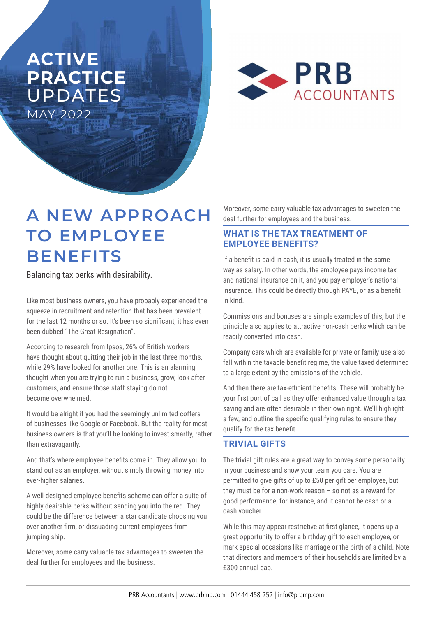## **ACTIVE PRACTICE**  UPDATES MAY 2022



# **A NEW APPROACH TO EMPLOYEE BENEFITS**

Balancing tax perks with desirability.

Like most business owners, you have probably experienced the squeeze in recruitment and retention that has been prevalent for the last 12 months or so. It's been so significant, it has even been dubbed "The Great Resignation".

According to research from Ipsos, 26% of British workers have thought about quitting their job in the last three months, while 29% have looked for another one. This is an alarming thought when you are trying to run a business, grow, look after customers, and ensure those staff staying do not become overwhelmed.

It would be alright if you had the seemingly unlimited coffers of businesses like Google or Facebook. But the reality for most business owners is that you'll be looking to invest smartly, rather than extravagantly.

And that's where employee benefits come in. They allow you to stand out as an employer, without simply throwing money into ever-higher salaries.

A well-designed employee benefits scheme can offer a suite of highly desirable perks without sending you into the red. They could be the difference between a star candidate choosing you over another firm, or dissuading current employees from jumping ship.

Moreover, some carry valuable tax advantages to sweeten the deal further for employees and the business.

Moreover, some carry valuable tax advantages to sweeten the deal further for employees and the business.

### **WHAT IS THE TAX TREATMENT OF EMPLOYEE BENEFITS?**

If a benefit is paid in cash, it is usually treated in the same way as salary. In other words, the employee pays income tax and national insurance on it, and you pay employer's national insurance. This could be directly through PAYE, or as a benefit in kind.

Commissions and bonuses are simple examples of this, but the principle also applies to attractive non-cash perks which can be readily converted into cash.

Company cars which are available for private or family use also fall within the taxable benefit regime, the value taxed determined to a large extent by the emissions of the vehicle.

And then there are tax-efficient benefits. These will probably be your first port of call as they offer enhanced value through a tax saving and are often desirable in their own right. We'll highlight a few, and outline the specific qualifying rules to ensure they qualify for the tax benefit.

### **TRIVIAL GIFTS**

The trivial gift rules are a great way to convey some personality in your business and show your team you care. You are permitted to give gifts of up to £50 per gift per employee, but they must be for a non-work reason – so not as a reward for good performance, for instance, and it cannot be cash or a cash voucher.

While this may appear restrictive at first glance, it opens up a great opportunity to offer a birthday gift to each employee, or mark special occasions like marriage or the birth of a child. Note that directors and members of their households are limited by a £300 annual cap.